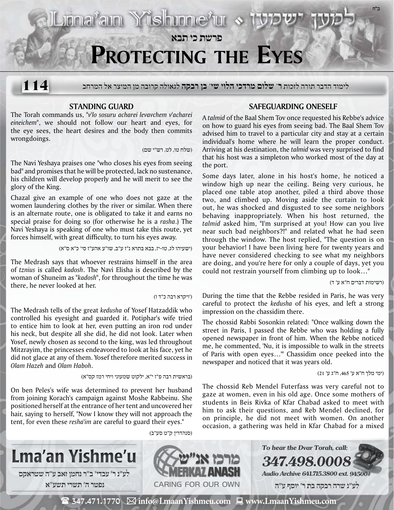**פרשת כי תבא Protecting the Eyes**

לימוד הדבר תורה לזכות **ר' שלום מרדכי הלוי שי' בן רבקה** לגאולה קרובה מן המיצר אל המרחב **114**

## **Standing Guard**

The Torah commands us, *"v'lo sosuru acharei levavchem v'acharei eineichem"*, we should not follow our heart and eyes, for the eye sees, the heart desires and the body then commits wrongdoings.

(שלח טו, לט, רש"י שם)

Lionarain Yushinneru «

The Navi Yeshaya praises one "who closes his eyes from seeing bad" and promises that he will be protected, lack no sustenance, his children will develop properly and he will merit to see the glory of the King.

Chazal give an example of one who does not gaze at the women laundering clothes by the river or similar. When there is an alternate route, one is obligated to take it and earns no special praise for doing so (for otherwise he is a *rasha*.) The Navi Yeshaya is speaking of one who must take this route, yet forces himself, with great difficulty, to turn his eyes away.

(ישעיהו לג, טו-יז, בבא בתרא נ"ז ע"ב, שו"ע אהע"ז סי' כ"א ס"א)

The Medrash says that whoever restrains himself in the area of *tznius* is called *kadosh*. The Navi Elisha is described by the woman of Shuneim as "*kadosh*", for throughout the time he was there, he never looked at her.

## ('ויקרא רבה כ"ד ו)

The Medrash tells of the great *kedusha* of Yosef Hatzaddik who controlled his eyesight and guarded it. Potiphar's wife tried to entice him to look at her, even putting an iron rod under his neck, but despite all she did, he did not look. Later when Yosef, newly chosen as second to the king, was led throughout Mitzrayim, the princesses endeavored to look at his face, yet he did not glace at any of them. Yosef therefore merited success in *Olam Hazeh* and *Olam Haboh*.

(בראשית רבה פ"ז י"א, ילקוט שמעוני ויחי רמז קס"א)

On ben Peles's wife was determined to prevent her husband from joining Korach's campaign against Moshe Rabbeinu. She positioned herself at the entrance of her tent and uncovered her hair, saying to herself, "Now I know they will not approach the tent, for even these *resha'im* are careful to guard their eyes."

## **Safeguarding Oneself**

A *talmid* of the Baal Shem Tov once requested his Rebbe's advice on how to guard his eyes from seeing bad. The Baal Shem Tov advised him to travel to a particular city and stay at a certain individual's home where he will learn the proper conduct. Arriving at his destination, the *talmid* was very surprised to find that his host was a simpleton who worked most of the day at the port.

Some days later, alone in his host's home, he noticed a window high up near the ceiling. Being very curious, he placed one table atop another, piled a third above those two, and climbed up. Moving aside the curtain to look out, he was shocked and disgusted to see some neighbors behaving inappropriately. When his host returned, the *talmid* asked him, "I'm surprised at you! How can you live near such bad neighbors?!" and related what he had seen through the window. The host replied, "The question is on your behavior! I have been living here for twenty years and have never considered checking to see what my neighbors are doing, and you're here for only a couple of days, yet you could not restrain yourself from climbing up to look…"

(רשימות דברים ח"א ע' ד)

**ב"ה**

During the time that the Rebbe resided in Paris, he was very careful to protect the *kedusha* of his eyes, and left a strong impression on the chassidim there.

The chossid Rabbi Sosonkin related: "Once walking down the street in Paris, I passed the Rebbe who was holding a fully opened newspaper in front of him. When the Rebbe noticed me, he commented, 'Nu, it is impossible to walk in the streets of Paris with open eyes…'" Chassidim once peeked into the newspaper and noticed that it was years old.

(ימי מלך ח"א ע' ,465 ח"ג ע' 21)

The chossid Reb Mendel Futerfass was very careful not to gaze at women, even in his old age. Once some mothers of students in Beis Rivka of Kfar Chabad asked to meet with him to ask their questions, and Reb Mendel declined, for on principle, he did not meet with women. On another occasion, a gathering was held in Kfar Chabad for a mixed



 $\mathbf{\mathcal{F}}$  347.471.1770  $\ \boxtimes$  info@LmaanYishmeu.com  $\ \blacksquare$  www.LmaanYishmeu.com